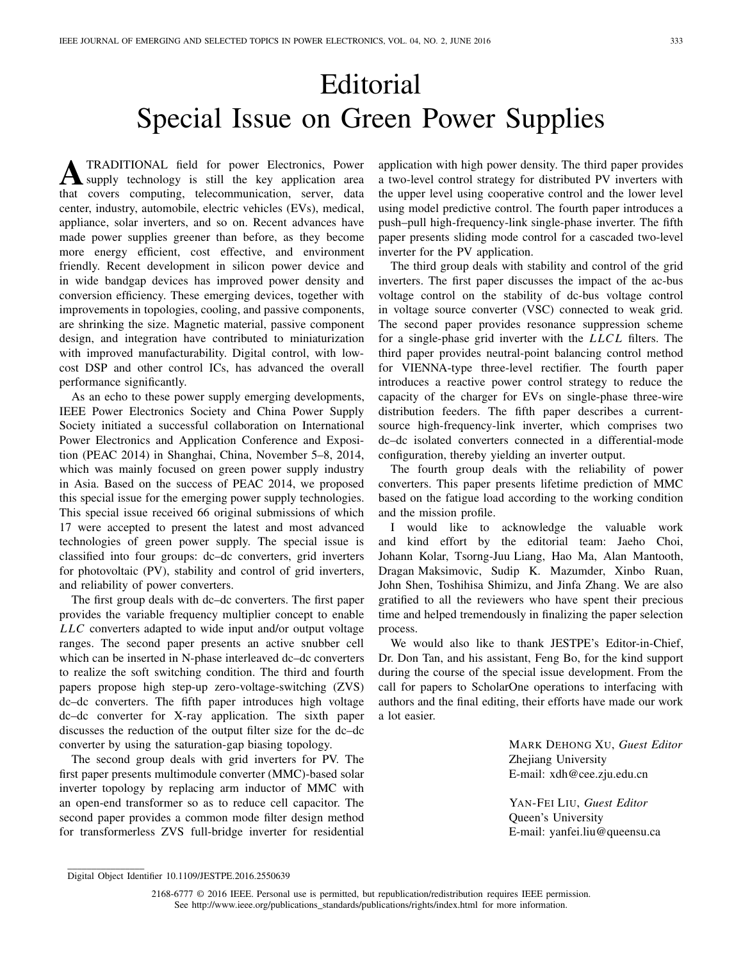## Editorial Special Issue on Green Power Supplies

**A**TRADITIONAL field for power Electronics, Power that covers computing, telecommunication, server, data center, industry, automobile, electric vehicles (EVs), medical, appliance, solar inverters, and so on. Recent advances have made power supplies greener than before, as they become more energy efficient, cost effective, and environment friendly. Recent development in silicon power device and in wide bandgap devices has improved power density and conversion efficiency. These emerging devices, together with improvements in topologies, cooling, and passive components, are shrinking the size. Magnetic material, passive component design, and integration have contributed to miniaturization with improved manufacturability. Digital control, with lowcost DSP and other control ICs, has advanced the overall performance significantly.

As an echo to these power supply emerging developments, IEEE Power Electronics Society and China Power Supply Society initiated a successful collaboration on International Power Electronics and Application Conference and Exposition (PEAC 2014) in Shanghai, China, November 5–8, 2014, which was mainly focused on green power supply industry in Asia. Based on the success of PEAC 2014, we proposed this special issue for the emerging power supply technologies. This special issue received 66 original submissions of which 17 were accepted to present the latest and most advanced technologies of green power supply. The special issue is classified into four groups: dc–dc converters, grid inverters for photovoltaic (PV), stability and control of grid inverters, and reliability of power converters.

The first group deals with dc–dc converters. The first paper provides the variable frequency multiplier concept to enable *LLC* converters adapted to wide input and/or output voltage ranges. The second paper presents an active snubber cell which can be inserted in N-phase interleaved dc–dc converters to realize the soft switching condition. The third and fourth papers propose high step-up zero-voltage-switching (ZVS) dc–dc converters. The fifth paper introduces high voltage dc–dc converter for X-ray application. The sixth paper discusses the reduction of the output filter size for the dc–dc converter by using the saturation-gap biasing topology.

The second group deals with grid inverters for PV. The first paper presents multimodule converter (MMC)-based solar inverter topology by replacing arm inductor of MMC with an open-end transformer so as to reduce cell capacitor. The second paper provides a common mode filter design method for transformerless ZVS full-bridge inverter for residential

application with high power density. The third paper provides a two-level control strategy for distributed PV inverters with the upper level using cooperative control and the lower level using model predictive control. The fourth paper introduces a push–pull high-frequency-link single-phase inverter. The fifth paper presents sliding mode control for a cascaded two-level inverter for the PV application.

The third group deals with stability and control of the grid inverters. The first paper discusses the impact of the ac-bus voltage control on the stability of dc-bus voltage control in voltage source converter (VSC) connected to weak grid. The second paper provides resonance suppression scheme for a single-phase grid inverter with the *LLCL* filters. The third paper provides neutral-point balancing control method for VIENNA-type three-level rectifier. The fourth paper introduces a reactive power control strategy to reduce the capacity of the charger for EVs on single-phase three-wire distribution feeders. The fifth paper describes a currentsource high-frequency-link inverter, which comprises two dc–dc isolated converters connected in a differential-mode configuration, thereby yielding an inverter output.

The fourth group deals with the reliability of power converters. This paper presents lifetime prediction of MMC based on the fatigue load according to the working condition and the mission profile.

I would like to acknowledge the valuable work and kind effort by the editorial team: Jaeho Choi, Johann Kolar, Tsorng-Juu Liang, Hao Ma, Alan Mantooth, Dragan Maksimovic, Sudip K. Mazumder, Xinbo Ruan, John Shen, Toshihisa Shimizu, and Jinfa Zhang. We are also gratified to all the reviewers who have spent their precious time and helped tremendously in finalizing the paper selection process.

We would also like to thank JESTPE's Editor-in-Chief, Dr. Don Tan, and his assistant, Feng Bo, for the kind support during the course of the special issue development. From the call for papers to ScholarOne operations to interfacing with authors and the final editing, their efforts have made our work a lot easier.

> MARK DEHONG XU, *Guest Editor* Zhejiang University E-mail: xdh@cee.zju.edu.cn

YAN-FEI LIU, *Guest Editor* Queen's University E-mail: yanfei.liu@queensu.ca

 $\overline{\phantom{a}}$  , where the contract of the contract of  $\overline{\phantom{a}}$ Digital Object Identifier 10.1109/JESTPE.2016.2550639